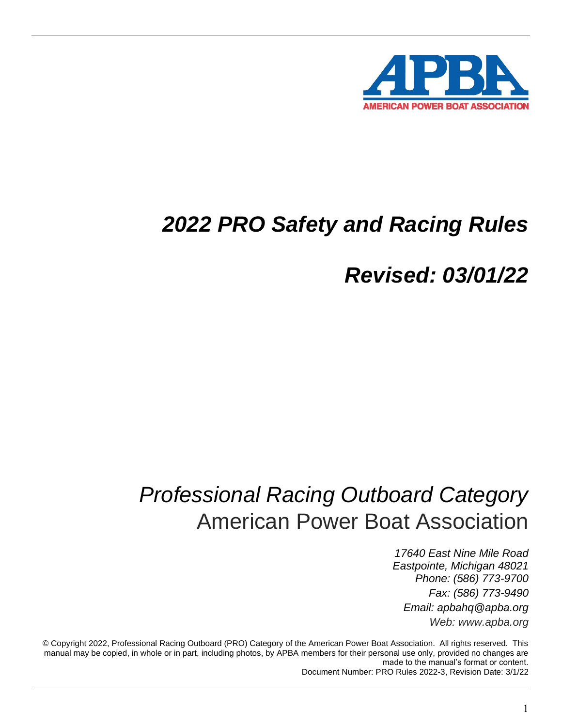

# *2022 PRO Safety and Racing Rules*

*Revised: 03/01/22*

# *Professional Racing Outboard Category* American Power Boat Association

*17640 East Nine Mile Road Eastpointe, Michigan 48021 Phone: (586) 773-9700 Fax: (586) 773-9490 Email: apbahq@apba.org Web: www.apba.org*

© Copyright 2022, Professional Racing Outboard (PRO) Category of the American Power Boat Association. All rights reserved. This manual may be copied, in whole or in part, including photos, by APBA members for their personal use only, provided no changes are made to the manual's format or content. Document Number: PRO Rules 2022-3, Revision Date: 3/1/22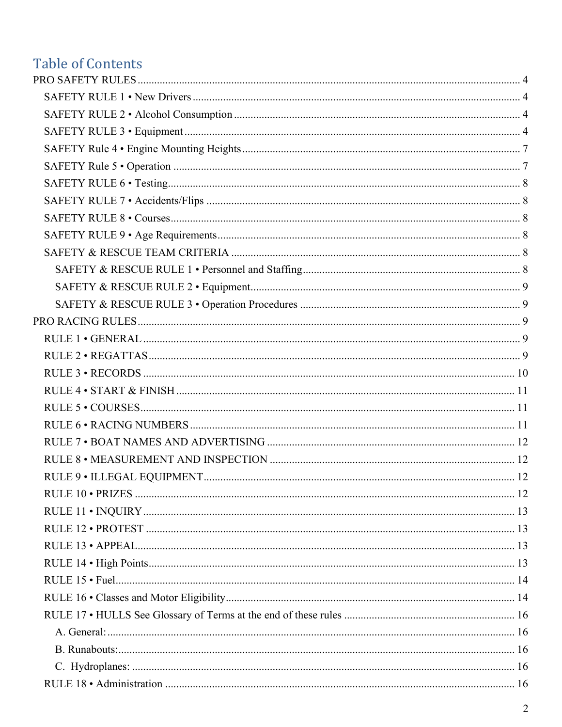## **Table of Contents**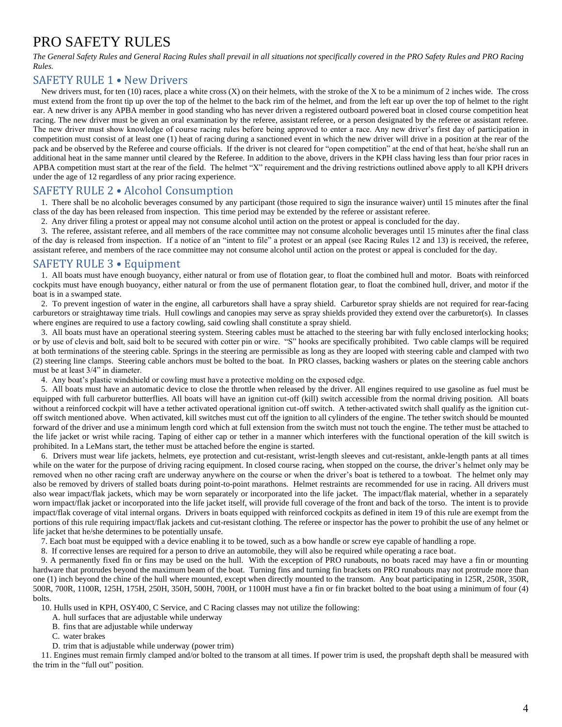## <span id="page-3-0"></span>PRO SAFETY RULES

*The General Safety Rules and General Racing Rules shall prevail in all situations not specifically covered in the PRO Safety Rules and PRO Racing Rules.* 

## <span id="page-3-1"></span>SAFETY RULE 1 • New Drivers

New drivers must, for ten  $(10)$  races, place a white cross  $(X)$  on their helmets, with the stroke of the X to be a minimum of 2 inches wide. The cross must extend from the front tip up over the top of the helmet to the back rim of the helmet, and from the left ear up over the top of helmet to the right ear. A new driver is any APBA member in good standing who has never driven a registered outboard powered boat in closed course competition heat racing. The new driver must be given an oral examination by the referee, assistant referee, or a person designated by the referee or assistant referee. The new driver must show knowledge of course racing rules before being approved to enter a race. Any new driver's first day of participation in competition must consist of at least one (1) heat of racing during a sanctioned event in which the new driver will drive in a position at the rear of the pack and be observed by the Referee and course officials. If the driver is not cleared for "open competition" at the end of that heat, he/she shall run an additional heat in the same manner until cleared by the Referee. In addition to the above, drivers in the KPH class having less than four prior races in APBA competition must start at the rear of the field. The helmet "X" requirement and the driving restrictions outlined above apply to all KPH drivers under the age of 12 regardless of any prior racing experience.

## <span id="page-3-2"></span>SAFETY RULE 2 • Alcohol Consumption

1. There shall be no alcoholic beverages consumed by any participant (those required to sign the insurance waiver) until 15 minutes after the final class of the day has been released from inspection. This time period may be extended by the referee or assistant referee.

2. Any driver filing a protest or appeal may not consume alcohol until action on the protest or appeal is concluded for the day.

3. The referee, assistant referee, and all members of the race committee may not consume alcoholic beverages until 15 minutes after the final class of the day is released from inspection. If a notice of an "intent to file" a protest or an appeal (see Racing Rules 12 and 13) is received, the referee, assistant referee, and members of the race committee may not consume alcohol until action on the protest or appeal is concluded for the day.

## <span id="page-3-3"></span>SAFETY RULE 3 • Equipment

1. All boats must have enough buoyancy, either natural or from use of flotation gear, to float the combined hull and motor. Boats with reinforced cockpits must have enough buoyancy, either natural or from the use of permanent flotation gear, to float the combined hull, driver, and motor if the boat is in a swamped state.

2. To prevent ingestion of water in the engine, all carburetors shall have a spray shield. Carburetor spray shields are not required for rear-facing carburetors or straightaway time trials. Hull cowlings and canopies may serve as spray shields provided they extend over the carburetor(s). In classes where engines are required to use a factory cowling, said cowling shall constitute a spray shield.

3. All boats must have an operational steering system. Steering cables must be attached to the steering bar with fully enclosed interlocking hooks; or by use of clevis and bolt, said bolt to be secured with cotter pin or wire. "S" hooks are specifically prohibited. Two cable clamps will be required at both terminations of the steering cable. Springs in the steering are permissible as long as they are looped with steering cable and clamped with two (2) steering line clamps. Steering cable anchors must be bolted to the boat. In PRO classes, backing washers or plates on the steering cable anchors must be at least 3/4" in diameter.

4. Any boat's plastic windshield or cowling must have a protective molding on the exposed edge.

5. All boats must have an automatic device to close the throttle when released by the driver. All engines required to use gasoline as fuel must be equipped with full carburetor butterflies. All boats will have an ignition cut-off (kill) switch accessible from the normal driving position. All boats without a reinforced cockpit will have a tether activated operational ignition cut-off switch. A tether-activated switch shall qualify as the ignition cutoff switch mentioned above. When activated, kill switches must cut off the ignition to all cylinders of the engine. The tether switch should be mounted forward of the driver and use a minimum length cord which at full extension from the switch must not touch the engine. The tether must be attached to the life jacket or wrist while racing. Taping of either cap or tether in a manner which interferes with the functional operation of the kill switch is prohibited. In a LeMans start, the tether must be attached before the engine is started.

6. Drivers must wear life jackets, helmets, eye protection and cut-resistant, wrist-length sleeves and cut-resistant, ankle-length pants at all times while on the water for the purpose of driving racing equipment. In closed course racing, when stopped on the course, the driver's helmet only may be removed when no other racing craft are underway anywhere on the course or when the driver's boat is tethered to a towboat. The helmet only may also be removed by drivers of stalled boats during point-to-point marathons. Helmet restraints are recommended for use in racing. All drivers must also wear impact/flak jackets, which may be worn separately or incorporated into the life jacket. The impact/flak material, whether in a separately worn impact/flak jacket or incorporated into the life jacket itself, will provide full coverage of the front and back of the torso. The intent is to provide impact/flak coverage of vital internal organs. Drivers in boats equipped with reinforced cockpits as defined in item 19 of this rule are exempt from the portions of this rule requiring impact/flak jackets and cut-resistant clothing. The referee or inspector has the power to prohibit the use of any helmet or life jacket that he/she determines to be potentially unsafe.

7. Each boat must be equipped with a device enabling it to be towed, such as a bow handle or screw eye capable of handling a rope.

8. If corrective lenses are required for a person to drive an automobile, they will also be required while operating a race boat.

9. A permanently fixed fin or fins may be used on the hull. With the exception of PRO runabouts, no boats raced may have a fin or mounting hardware that protrudes beyond the maximum beam of the boat. Turning fins and turning fin brackets on PRO runabouts may not protrude more than one (1) inch beyond the chine of the hull where mounted, except when directly mounted to the transom. Any boat participating in 125R, 250R, 350R, 500R, 700R, 1100R, 125H, 175H, 250H, 350H, 500H, 700H, or 1100H must have a fin or fin bracket bolted to the boat using a minimum of four (4) bolts.

10. Hulls used in KPH, OSY400, C Service, and C Racing classes may not utilize the following:

- A. hull surfaces that are adjustable while underway
- B. fins that are adjustable while underway
- C. water brakes
- D. trim that is adjustable while underway (power trim)

11. Engines must remain firmly clamped and/or bolted to the transom at all times. If power trim is used, the propshaft depth shall be measured with the trim in the "full out" position.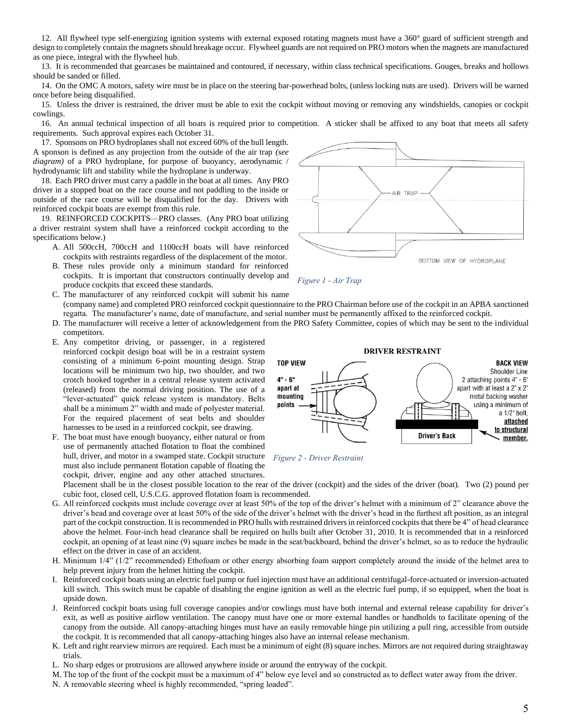12. All flywheel type self-energizing ignition systems with external exposed rotating magnets must have a 360° guard of sufficient strength and design to completely contain the magnets should breakage occur. Flywheel guards are not required on PRO motors when the magnets are manufactured as one piece, integral with the flywheel hub.

13. It is recommended that gearcases be maintained and contoured, if necessary, within class technical specifications. Gouges, breaks and hollows should be sanded or filled.

14. On the OMC A motors, safety wire must be in place on the steering bar-powerhead bolts, (unless locking nuts are used). Drivers will be warned once before being disqualified.

15. Unless the driver is restrained, the driver must be able to exit the cockpit without moving or removing any windshields, canopies or cockpit cowlings.

16. An annual technical inspection of all boats is required prior to competition. A sticker shall be affixed to any boat that meets all safety requirements. Such approval expires each October 31.

 17. Sponsons on PRO hydroplanes shall not exceed 60% of the hull length. A sponson is defined as any projection from the outside of the air trap *(see diagram)* of a PRO hydroplane, for purpose of buoyancy, aerodynamic / hydrodynamic lift and stability while the hydroplane is underway.

18. Each PRO driver must carry a paddle in the boat at all times. Any PRO driver in a stopped boat on the race course and not paddling to the inside or outside of the race course will be disqualified for the day. Drivers with reinforced cockpit boats are exempt from this rule.

19. REINFORCED COCKPITS—PRO classes. (Any PRO boat utilizing a driver restraint system shall have a reinforced cockpit according to the specifications below.)

- A. All 500ccH, 700ccH and 1100ccH boats will have reinforced cockpits with restraints regardless of the displacement of the motor.
- B. These rules provide only a minimum standard for reinforced cockpits. It is important that constructors continually develop and produce cockpits that exceed these standards.
- C. The manufacturer of any reinforced cockpit will submit his name (company name) and completed PRO reinforced cockpit questionnaire to the PRO Chairman before use of the cockpit in an APBA sanctioned regatta. The manufacturer's name, date of manufacture, and serial number must be permanently affixed to the reinforced cockpit.
- D. The manufacturer will receive a letter of acknowledgement from the PRO Safety Committee, copies of which may be sent to the individual competitors.
- E. Any competitor driving, or passenger, in a registered reinforced cockpit design boat will be in a restraint system consisting of a minimum 6-point mounting design. Strap locations will be minimum two hip, two shoulder, and two crotch hooked together in a central release system activated (released) from the normal driving position. The use of a "lever-actuated" quick release system is mandatory. Belts shall be a minimum 2" width and made of polyester material. For the required placement of seat belts and shoulder harnesses to be used in a reinforced cockpit, see drawing.
- F. The boat must have enough buoyancy, either natural or from use of permanently attached flotation to float the combined hull, driver, and motor in a swamped state. Cockpit structure *Figure 2 - Driver Restraint*must also include permanent flotation capable of floating the cockpit, driver, engine and any other attached structures.

Placement shall be in the closest possible location to the rear of the driver (cockpit) and the sides of the driver (boat). Two (2) pound per cubic foot, closed cell, U.S.C.G. approved flotation foam is recommended.

- G. All reinforced cockpits must include coverage over at least 50% of the top of the driver's helmet with a minimum of 2" clearance above the driver's head and coverage over at least 50% of the side of the driver's helmet with the driver's head in the furthest aft position, as an integral part of the cockpit construction. It is recommended in PRO hulls with restrained drivers in reinforced cockpits that there be 4" of head clearance above the helmet. Four-inch head clearance shall be required on hulls built after October 31, 2010. It is recommended that in a reinforced cockpit, an opening of at least nine (9) square inches be made in the seat/backboard, behind the driver's helmet, so as to reduce the hydraulic effect on the driver in case of an accident.
- H. Minimum 1/4" (1/2" recommended) Ethofoam or other energy absorbing foam support completely around the inside of the helmet area to help prevent injury from the helmet hitting the cockpit.
- I. Reinforced cockpit boats using an electric fuel pump or fuel injection must have an additional centrifugal-force-actuated or inversion-actuated kill switch. This switch must be capable of disabling the engine ignition as well as the electric fuel pump, if so equipped, when the boat is upside down.
- J. Reinforced cockpit boats using full coverage canopies and/or cowlings must have both internal and external release capability for driver's exit, as well as positive airflow ventilation. The canopy must have one or more external handles or handholds to facilitate opening of the canopy from the outside. All canopy-attaching hinges must have an easily removable hinge pin utilizing a pull ring, accessible from outside the cockpit. It is recommended that all canopy-attaching hinges also have an internal release mechanism.
- K. Left and right rearview mirrors are required. Each must be a minimum of eight (8) square inches. Mirrors are not required during straightaway trials.
- L. No sharp edges or protrusions are allowed anywhere inside or around the entryway of the cockpit.
- M. The top of the front of the cockpit must be a maximum of 4" below eye level and so constructed as to deflect water away from the driver.
- N. A removable steering wheel is highly recommended, "spring loaded".







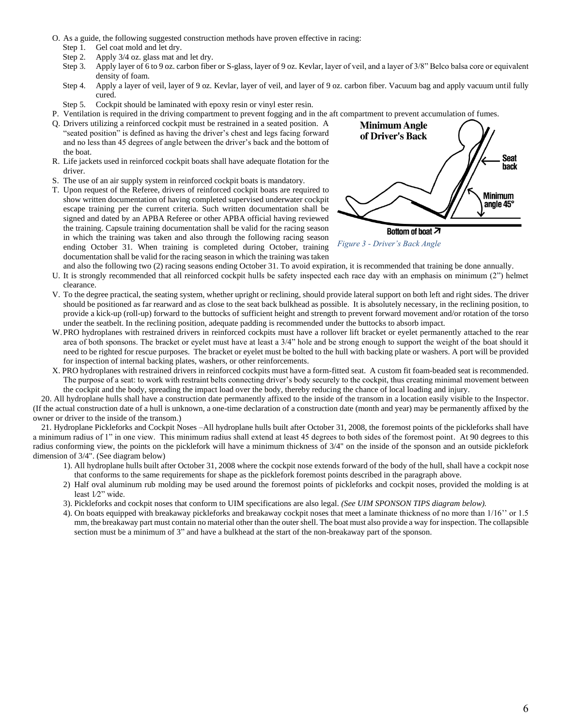- O. As a guide, the following suggested construction methods have proven effective in racing:
	- Step 1. Gel coat mold and let dry.
	- Step 2. Apply 3/4 oz. glass mat and let dry.
	- Step 3. Apply layer of 6 to 9 oz. carbon fiber or S-glass, layer of 9 oz. Kevlar, layer of veil, and a layer of 3/8" Belco balsa core or equivalent density of foam.
	- Step 4. Apply a layer of veil, layer of 9 oz. Kevlar, layer of veil, and layer of 9 oz. carbon fiber. Vacuum bag and apply vacuum until fully cured.
	- Step 5. Cockpit should be laminated with epoxy resin or vinyl ester resin.
- P. Ventilation is required in the driving compartment to prevent fogging and in the aft compartment to prevent accumulation of fumes.
- Q. Drivers utilizing a reinforced cockpit must be restrained in a seated position. A "seated position" is defined as having the driver's chest and legs facing forward and no less than 45 degrees of angle between the driver's back and the bottom of the boat.
- R. Life jackets used in reinforced cockpit boats shall have adequate flotation for the driver.
- S. The use of an air supply system in reinforced cockpit boats is mandatory.
- T. Upon request of the Referee, drivers of reinforced cockpit boats are required to show written documentation of having completed supervised underwater cockpit escape training per the current criteria. Such written documentation shall be signed and dated by an APBA Referee or other APBA official having reviewed the training. Capsule training documentation shall be valid for the racing season in which the training was taken and also through the following racing season ending October 31. When training is completed during October, training documentation shall be valid for the racing season in which the training was taken



*Figure 3 - Driver's Back Angle*

- and also the following two (2) racing seasons ending October 31. To avoid expiration, it is recommended that training be done annually. U. It is strongly recommended that all reinforced cockpit hulls be safety inspected each race day with an emphasis on minimum (2") helmet clearance.
- V. To the degree practical, the seating system, whether upright or reclining, should provide lateral support on both left and right sides. The driver should be positioned as far rearward and as close to the seat back bulkhead as possible. It is absolutely necessary, in the reclining position, to provide a kick-up (roll-up) forward to the buttocks of sufficient height and strength to prevent forward movement and/or rotation of the torso under the seatbelt. In the reclining position, adequate padding is recommended under the buttocks to absorb impact.
- W. PRO hydroplanes with restrained drivers in reinforced cockpits must have a rollover lift bracket or eyelet permanently attached to the rear area of both sponsons. The bracket or eyelet must have at least a  $3/4$ " hole and be strong enough to support the weight of the boat should it need to be righted for rescue purposes. The bracket or eyelet must be bolted to the hull with backing plate or washers. A port will be provided for inspection of internal backing plates, washers, or other reinforcements.
- X. PRO hydroplanes with restrained drivers in reinforced cockpits must have a form-fitted seat. A custom fit foam-beaded seat is recommended. The purpose of a seat: to work with restraint belts connecting driver's body securely to the cockpit, thus creating minimal movement between the cockpit and the body, spreading the impact load over the body, thereby reducing the chance of local loading and injury.

20. All hydroplane hulls shall have a construction date permanently affixed to the inside of the transom in a location easily visible to the Inspector. (If the actual construction date of a hull is unknown, a one-time declaration of a construction date (month and year) may be permanently affixed by the owner or driver to the inside of the transom.)

 21. Hydroplane Pickleforks and Cockpit Noses –All hydroplane hulls built after October 31, 2008, the foremost points of the pickleforks shall have a minimum radius of 1" in one view. This minimum radius shall extend at least 45 degrees to both sides of the foremost point. At 90 degrees to this radius conforming view, the points on the picklefork will have a minimum thickness of 3/4" on the inside of the sponson and an outside picklefork dimension of 3/4". (See diagram below)

- 1). All hydroplane hulls built after October 31, 2008 where the cockpit nose extends forward of the body of the hull, shall have a cockpit nose that conforms to the same requirements for shape as the picklefork foremost points described in the paragraph above.
- 2) Half oval aluminum rub molding may be used around the foremost points of pickleforks and cockpit noses, provided the molding is at least 1⁄2" wide.
- 3). Pickleforks and cockpit noses that conform to UIM specifications are also legal. *(See UIM SPONSON TIPS diagram below).*
- 4). On boats equipped with breakaway pickleforks and breakaway cockpit noses that meet a laminate thickness of no more than 1/16'' or 1.5 mm, the breakaway part must contain no material other than the outer shell. The boat must also provide a way for inspection. The collapsible section must be a minimum of 3" and have a bulkhead at the start of the non-breakaway part of the sponson.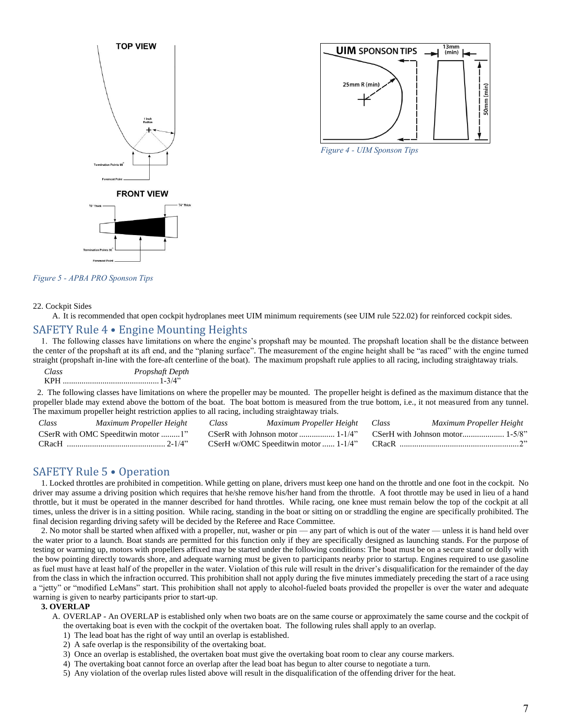



*Figure 4 - UIM Sponson Tips*

<span id="page-6-2"></span>*Figure 5 - APBA PRO Sponson Tips*

#### 22. Cockpit Sides

A. It is recommended that open cockpit hydroplanes meet UIM minimum requirements (see UIM rule 522.02) for reinforced cockpit sides.

#### <span id="page-6-0"></span>SAFETY Rule 4 • Engine Mounting Heights

1. The following classes have limitations on where the engine's propshaft may be mounted. The propshaft location shall be the distance between the center of the propshaft at its aft end, and the "planing surface". The measurement of the engine height shall be "as raced" with the engine turned straight (propshaft in-line with the fore-aft centerline of the boat). The maximum propshaft rule applies to all racing, including straightaway trials.

*Class Propshaft Depth* KPH ..............................................1-3/4"

 2. The following classes have limitations on where the propeller may be mounted. The propeller height is defined as the maximum distance that the propeller blade may extend above the bottom of the boat. The boat bottom is measured from the true bottom, i.e., it not measured from any tunnel. The maximum propeller height restriction applies to all racing, including straightaway trials.

| Class | Maximum Propeller Height           | Class | Maximum Propeller Height Class       | Maximum Propeller Height |
|-------|------------------------------------|-------|--------------------------------------|--------------------------|
|       | CSerR with OMC Speeditwin motor 1" |       |                                      |                          |
|       |                                    |       | CSerH w/OMC Speeditwin motor  1-1/4" |                          |

#### <span id="page-6-1"></span>SAFETY Rule 5 • Operation

1. Locked throttles are prohibited in competition. While getting on plane, drivers must keep one hand on the throttle and one foot in the cockpit. No driver may assume a driving position which requires that he/she remove his/her hand from the throttle. A foot throttle may be used in lieu of a hand throttle, but it must be operated in the manner described for hand throttles. While racing, one knee must remain below the top of the cockpit at all times, unless the driver is in a sitting position. While racing, standing in the boat or sitting on or straddling the engine are specifically prohibited. The final decision regarding driving safety will be decided by the Referee and Race Committee.

2. No motor shall be started when affixed with a propeller, nut, washer or pin — any part of which is out of the water — unless it is hand held over the water prior to a launch. Boat stands are permitted for this function only if they are specifically designed as launching stands. For the purpose of testing or warming up, motors with propellers affixed may be started under the following conditions: The boat must be on a secure stand or dolly with the bow pointing directly towards shore, and adequate warning must be given to participants nearby prior to startup. Engines required to use gasoline as fuel must have at least half of the propeller in the water. Violation of this rule will result in the driver's disqualification for the remainder of the day from the class in which the infraction occurred. This prohibition shall not apply during the five minutes immediately preceding the start of a race using a "jetty" or "modified LeMans" start. This prohibition shall not apply to alcohol-fueled boats provided the propeller is over the water and adequate warning is given to nearby participants prior to start-up.

#### **3. OVERLAP**

- A. OVERLAP An OVERLAP is established only when two boats are on the same course or approximately the same course and the cockpit of the overtaking boat is even with the cockpit of the overtaken boat. The following rules shall apply to an overlap.
	- 1) The lead boat has the right of way until an overlap is established.
	- 2) A safe overlap is the responsibility of the overtaking boat.
	- 3) Once an overlap is established, the overtaken boat must give the overtaking boat room to clear any course markers.
	- 4) The overtaking boat cannot force an overlap after the lead boat has begun to alter course to negotiate a turn.
	- 5) Any violation of the overlap rules listed above will result in the disqualification of the offending driver for the heat.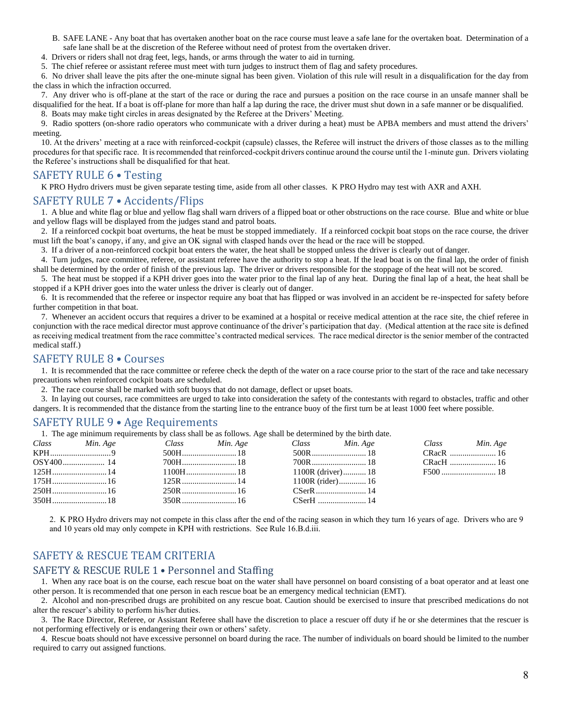- B. SAFE LANE Any boat that has overtaken another boat on the race course must leave a safe lane for the overtaken boat. Determination of a safe lane shall be at the discretion of the Referee without need of protest from the overtaken driver.
- 4. Drivers or riders shall not drag feet, legs, hands, or arms through the water to aid in turning.
- 5. The chief referee or assistant referee must meet with turn judges to instruct them of flag and safety procedures.

6.No driver shall leave the pits after the one-minute signal has been given. Violation of this rule will result in a disqualification for the day from the class in which the infraction occurred.

7. Any driver who is off-plane at the start of the race or during the race and pursues a position on the race course in an unsafe manner shall be disqualified for the heat. If a boat is off-plane for more than half a lap during the race, the driver must shut down in a safe manner or be disqualified.

8. Boats may make tight circles in areas designated by the Referee at the Drivers' Meeting.

9. Radio spotters (on-shore radio operators who communicate with a driver during a heat) must be APBA members and must attend the drivers' meeting.

10. At the drivers' meeting at a race with reinforced-cockpit (capsule) classes, the Referee will instruct the drivers of those classes as to the milling procedures for that specific race. It is recommended that reinforced-cockpit drivers continue around the course until the 1-minute gun. Drivers violating the Referee's instructions shall be disqualified for that heat.

#### <span id="page-7-0"></span>SAFETY RULE 6 • Testing

K PRO Hydro drivers must be given separate testing time, aside from all other classes. K PRO Hydro may test with AXR and AXH.

#### <span id="page-7-1"></span>SAFETY RULE 7 • Accidents/Flips

1. A blue and white flag or blue and yellow flag shall warn drivers of a flipped boat or other obstructions on the race course. Blue and white or blue and yellow flags will be displayed from the judges stand and patrol boats.

2. If a reinforced cockpit boat overturns, the heat be must be stopped immediately. If a reinforced cockpit boat stops on the race course, the driver must lift the boat's canopy, if any, and give an OK signal with clasped hands over the head or the race will be stopped.

3. If a driver of a non-reinforced cockpit boat enters the water, the heat shall be stopped unless the driver is clearly out of danger.

4. Turn judges, race committee, referee, or assistant referee have the authority to stop a heat. If the lead boat is on the final lap, the order of finish shall be determined by the order of finish of the previous lap. The driver or drivers responsible for the stoppage of the heat will not be scored.

5. The heat must be stopped if a KPH driver goes into the water prior to the final lap of any heat. During the final lap of a heat, the heat shall be stopped if a KPH driver goes into the water unless the driver is clearly out of danger.

6. It is recommended that the referee or inspector require any boat that has flipped or was involved in an accident be re-inspected for safety before further competition in that boat.

7. Whenever an accident occurs that requires a driver to be examined at a hospital or receive medical attention at the race site, the chief referee in conjunction with the race medical director must approve continuance of the driver's participation that day. (Medical attention at the race site is defined as receiving medical treatment from the race committee's contracted medical services. The race medical director is the senior member of the contracted medical staff.)

## <span id="page-7-2"></span>SAFETY RULE 8 • Courses

1. It is recommended that the race committee or referee check the depth of the water on a race course prior to the start of the race and take necessary precautions when reinforced cockpit boats are scheduled.

2. The race course shall be marked with soft buoys that do not damage, deflect or upset boats.

3. In laying out courses, race committees are urged to take into consideration the safety of the contestants with regard to obstacles, traffic and other dangers. It is recommended that the distance from the starting line to the entrance buoy of the first turn be at least 1000 feet where possible.

#### <span id="page-7-3"></span>SAFETY RULE 9 • Age Requirements

1. The age minimum requirements by class shall be as follows. Age shall be determined by the birth date.

| Class Min. Age | Class Min. Age | Class Min. Age      | Class Min. Age |
|----------------|----------------|---------------------|----------------|
|                |                |                     |                |
|                |                |                     |                |
|                |                | $1100R$ (driver) 18 |                |
|                |                | $1100R$ (rider) 16  |                |
|                |                | $CSerR$ 14          |                |
| $350H$ $18$    |                |                     |                |

2. K PRO Hydro drivers may not compete in this class after the end of the racing season in which they turn 16 years of age. Drivers who are 9 and 10 years old may only compete in KPH with restrictions. See Rule 16.B.d.iii.

## <span id="page-7-4"></span>SAFETY & RESCUE TEAM CRITERIA

## <span id="page-7-5"></span>SAFETY & RESCUE RULE 1 • Personnel and Staffing

1. When any race boat is on the course, each rescue boat on the water shall have personnel on board consisting of a boat operator and at least one other person. It is recommended that one person in each rescue boat be an emergency medical technician (EMT).

2. Alcohol and non-prescribed drugs are prohibited on any rescue boat. Caution should be exercised to insure that prescribed medications do not alter the rescuer's ability to perform his/her duties.

3. The Race Director, Referee, or Assistant Referee shall have the discretion to place a rescuer off duty if he or she determines that the rescuer is not performing effectively or is endangering their own or others' safety.

4. Rescue boats should not have excessive personnel on board during the race. The number of individuals on board should be limited to the number required to carry out assigned functions.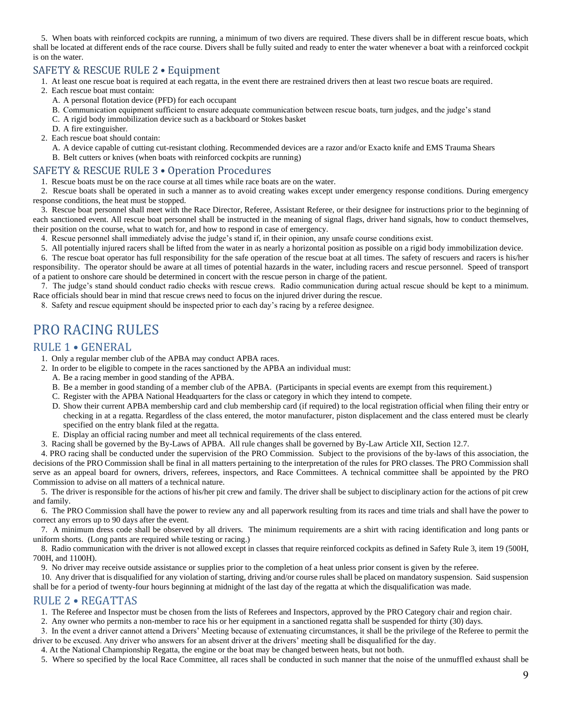5. When boats with reinforced cockpits are running, a minimum of two divers are required. These divers shall be in different rescue boats, which shall be located at different ends of the race course. Divers shall be fully suited and ready to enter the water whenever a boat with a reinforced cockpit is on the water.

## <span id="page-8-0"></span>SAFETY & RESCUE RULE 2 • Equipment

1. At least one rescue boat is required at each regatta, in the event there are restrained drivers then at least two rescue boats are required.

- 2. Each rescue boat must contain:
	- A. A personal flotation device (PFD) for each occupant
	- B. Communication equipment sufficient to ensure adequate communication between rescue boats, turn judges, and the judge's stand
	- C. A rigid body immobilization device such as a backboard or Stokes basket
	- D. A fire extinguisher.
- 2. Each rescue boat should contain:

A. A device capable of cutting cut-resistant clothing. Recommended devices are a razor and/or Exacto knife and EMS Trauma Shears B. Belt cutters or knives (when boats with reinforced cockpits are running)

#### <span id="page-8-1"></span>SAFETY & RESCUE RULE 3 • Operation Procedures

1. Rescue boats must be on the race course at all times while race boats are on the water.

2. Rescue boats shall be operated in such a manner as to avoid creating wakes except under emergency response conditions. During emergency response conditions, the heat must be stopped.

3. Rescue boat personnel shall meet with the Race Director, Referee, Assistant Referee, or their designee for instructions prior to the beginning of each sanctioned event. All rescue boat personnel shall be instructed in the meaning of signal flags, driver hand signals, how to conduct themselves, their position on the course, what to watch for, and how to respond in case of emergency.

- 4. Rescue personnel shall immediately advise the judge's stand if, in their opinion, any unsafe course conditions exist.
- 5. All potentially injured racers shall be lifted from the water in as nearly a horizontal position as possible on a rigid body immobilization device.

6. The rescue boat operator has full responsibility for the safe operation of the rescue boat at all times. The safety of rescuers and racers is his/her responsibility. The operator should be aware at all times of potential hazards in the water, including racers and rescue personnel. Speed of transport of a patient to onshore care should be determined in concert with the rescue person in charge of the patient.

7. The judge's stand should conduct radio checks with rescue crews. Radio communication during actual rescue should be kept to a minimum. Race officials should bear in mind that rescue crews need to focus on the injured driver during the rescue.

8. Safety and rescue equipment should be inspected prior to each day's racing by a referee designee.

## <span id="page-8-2"></span>PRO RACING RULES

#### <span id="page-8-3"></span>RULE 1 • GENERAL

1. Only a regular member club of the APBA may conduct APBA races.

- 2. In order to be eligible to compete in the races sanctioned by the APBA an individual must:
	- A. Be a racing member in good standing of the APBA.
	- B. Be a member in good standing of a member club of the APBA. (Participants in special events are exempt from this requirement.)
	- C. Register with the APBA National Headquarters for the class or category in which they intend to compete.
	- D. Show their current APBA membership card and club membership card (if required) to the local registration official when filing their entry or checking in at a regatta. Regardless of the class entered, the motor manufacturer, piston displacement and the class entered must be clearly specified on the entry blank filed at the regatta.
	- E. Display an official racing number and meet all technical requirements of the class entered.
- 3. Racing shall be governed by the By-Laws of APBA. All rule changes shall be governed by By-Law Article XII, Section 12.7.

4. PRO racing shall be conducted under the supervision of the PRO Commission. Subject to the provisions of the by-laws of this association, the decisions of the PRO Commission shall be final in all matters pertaining to the interpretation of the rules for PRO classes. The PRO Commission shall serve as an appeal board for owners, drivers, referees, inspectors, and Race Committees. A technical committee shall be appointed by the PRO Commission to advise on all matters of a technical nature.

5. The driver is responsible for the actions of his/her pit crew and family. The driver shall be subject to disciplinary action for the actions of pit crew and family.

6. The PRO Commission shall have the power to review any and all paperwork resulting from its races and time trials and shall have the power to correct any errors up to 90 days after the event.

7. A minimum dress code shall be observed by all drivers. The minimum requirements are a shirt with racing identification and long pants or uniform shorts. (Long pants are required while testing or racing.)

8. Radio communication with the driver is not allowed except in classes that require reinforced cockpits as defined in Safety Rule 3, item 19 (500H, 700H, and 1100H).

9. No driver may receive outside assistance or supplies prior to the completion of a heat unless prior consent is given by the referee.

10. Any driver that is disqualified for any violation of starting, driving and/or course rules shall be placed on mandatory suspension. Said suspension shall be for a period of twenty-four hours beginning at midnight of the last day of the regatta at which the disqualification was made.

## <span id="page-8-4"></span>RULE 2 • REGATTAS

1. The Referee and Inspector must be chosen from the lists of Referees and Inspectors, approved by the PRO Category chair and region chair.

2. Any owner who permits a non-member to race his or her equipment in a sanctioned regatta shall be suspended for thirty (30) days.

3. In the event a driver cannot attend a Drivers' Meeting because of extenuating circumstances, it shall be the privilege of the Referee to permit the driver to be excused. Any driver who answers for an absent driver at the drivers' meeting shall be disqualified for the day.

4. At the National Championship Regatta, the engine or the boat may be changed between heats, but not both.

5. Where so specified by the local Race Committee, all races shall be conducted in such manner that the noise of the unmuffled exhaust shall be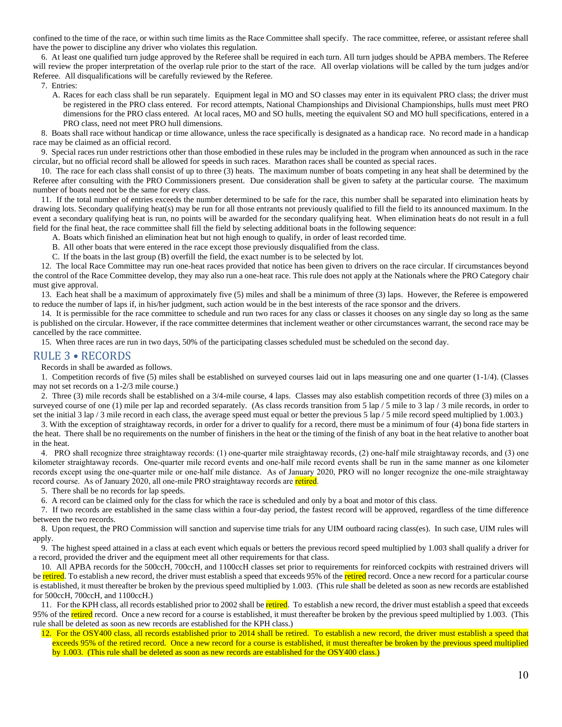confined to the time of the race, or within such time limits as the Race Committee shall specify. The race committee, referee, or assistant referee shall have the power to discipline any driver who violates this regulation.

6. At least one qualified turn judge approved by the Referee shall be required in each turn. All turn judges should be APBA members. The Referee will review the proper interpretation of the overlap rule prior to the start of the race. All overlap violations will be called by the turn judges and/or Referee. All disqualifications will be carefully reviewed by the Referee.

7. Entries:

A. Races for each class shall be run separately. Equipment legal in MO and SO classes may enter in its equivalent PRO class; the driver must be registered in the PRO class entered. For record attempts, National Championships and Divisional Championships, hulls must meet PRO dimensions for the PRO class entered. At local races, MO and SO hulls, meeting the equivalent SO and MO hull specifications, entered in a PRO class, need not meet PRO hull dimensions.

8. Boats shall race without handicap or time allowance, unless the race specifically is designated as a handicap race. No record made in a handicap race may be claimed as an official record.

9. Special races run under restrictions other than those embodied in these rules may be included in the program when announced as such in the race circular, but no official record shall be allowed for speeds in such races. Marathon races shall be counted as special races.

10. The race for each class shall consist of up to three (3) heats. The maximum number of boats competing in any heat shall be determined by the Referee after consulting with the PRO Commissioners present. Due consideration shall be given to safety at the particular course. The maximum number of boats need not be the same for every class.

11. If the total number of entries exceeds the number determined to be safe for the race, this number shall be separated into elimination heats by drawing lots. Secondary qualifying heat(s) may be run for all those entrants not previously qualified to fill the field to its announced maximum. In the event a secondary qualifying heat is run, no points will be awarded for the secondary qualifying heat. When elimination heats do not result in a full field for the final heat, the race committee shall fill the field by selecting additional boats in the following sequence:

A. Boats which finished an elimination heat but not high enough to qualify, in order of least recorded time.

B. All other boats that were entered in the race except those previously disqualified from the class.

C. If the boats in the last group (B) overfill the field, the exact number is to be selected by lot.

12. The local Race Committee may run one-heat races provided that notice has been given to drivers on the race circular. If circumstances beyond the control of the Race Committee develop, they may also run a one-heat race. This rule does not apply at the Nationals where the PRO Category chair must give approval.

13. Each heat shall be a maximum of approximately five (5) miles and shall be a minimum of three (3) laps. However, the Referee is empowered to reduce the number of laps if, in his/her judgment, such action would be in the best interests of the race sponsor and the drivers.

14. It is permissible for the race committee to schedule and run two races for any class or classes it chooses on any single day so long as the same is published on the circular. However, if the race committee determines that inclement weather or other circumstances warrant, the second race may be cancelled by the race committee.

15. When three races are run in two days, 50% of the participating classes scheduled must be scheduled on the second day.

#### <span id="page-9-0"></span>RULE 3 • RECORDS

Records in shall be awarded as follows.

1. Competition records of five (5) miles shall be established on surveyed courses laid out in laps measuring one and one quarter (1-1/4). (Classes may not set records on a 1-2/3 mile course.)

2. Three (3) mile records shall be established on a 3/4-mile course, 4 laps. Classes may also establish competition records of three (3) miles on a surveyed course of one (1) mile per lap and recorded separately. (As class records transition from 5 lap / 5 mile to 3 lap / 3 mile records, in order to set the initial 3 lap / 3 mile record in each class, the average speed must equal or better the previous 5 lap / 5 mile record speed multiplied by 1.003.)

3. With the exception of straightaway records, in order for a driver to qualify for a record, there must be a minimum of four (4) bona fide starters in the heat. There shall be no requirements on the number of finishers in the heat or the timing of the finish of any boat in the heat relative to another boat in the heat.

4. PRO shall recognize three straightaway records: (1) one-quarter mile straightaway records, (2) one-half mile straightaway records, and (3) one kilometer straightaway records. One-quarter mile record events and one-half mile record events shall be run in the same manner as one kilometer records except using the one-quarter mile or one-half mile distance. As of January 2020, PRO will no longer recognize the one-mile straightaway record course. As of January 2020, all one-mile PRO straightaway records are retired.

5. There shall be no records for lap speeds.

6. A record can be claimed only for the class for which the race is scheduled and only by a boat and motor of this class.

7. If two records are established in the same class within a four-day period, the fastest record will be approved, regardless of the time difference between the two records.

8. Upon request, the PRO Commission will sanction and supervise time trials for any UIM outboard racing class(es). In such case, UIM rules will apply.

9. The highest speed attained in a class at each event which equals or betters the previous record speed multiplied by 1.003 shall qualify a driver for a record, provided the driver and the equipment meet all other requirements for that class.

10. All APBA records for the 500ccH, 700ccH, and 1100ccH classes set prior to requirements for reinforced cockpits with restrained drivers will be retired. To establish a new record, the driver must establish a speed that exceeds 95% of the retired record. Once a new record for a particular course is established, it must thereafter be broken by the previous speed multiplied by 1.003. (This rule shall be deleted as soon as new records are established for 500ccH, 700ccH, and 1100ccH.)

11. For the KPH class, all records established prior to 2002 shall be retired. To establish a new record, the driver must establish a speed that exceeds 95% of the retired record. Once a new record for a course is established, it must thereafter be broken by the previous speed multiplied by 1.003. (This rule shall be deleted as soon as new records are established for the KPH class.)

12. For the OSY400 class, all records established prior to 2014 shall be retired. To establish a new record, the driver must establish a speed that exceeds 95% of the retired record. Once a new record for a course is established, it must thereafter be broken by the previous speed multiplied by 1.003. (This rule shall be deleted as soon as new records are established for the OSY400 class.)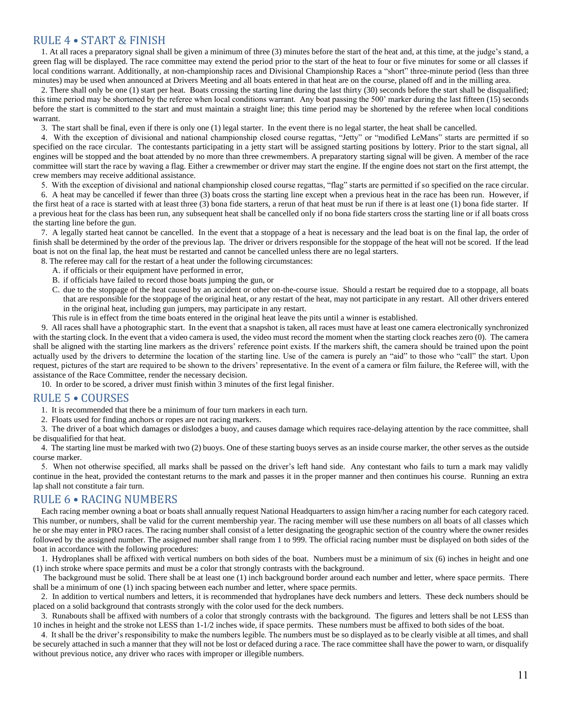## <span id="page-10-0"></span>RULE 4 • START & FINISH

1. At all races a preparatory signal shall be given a minimum of three (3) minutes before the start of the heat and, at this time, at the judge's stand, a green flag will be displayed. The race committee may extend the period prior to the start of the heat to four or five minutes for some or all classes if local conditions warrant. Additionally, at non-championship races and Divisional Championship Races a "short" three-minute period (less than three minutes) may be used when announced at Drivers Meeting and all boats entered in that heat are on the course, planed off and in the milling area.

2. There shall only be one (1) start per heat. Boats crossing the starting line during the last thirty (30) seconds before the start shall be disqualified; this time period may be shortened by the referee when local conditions warrant. Any boat passing the 500' marker during the last fifteen (15) seconds before the start is committed to the start and must maintain a straight line; this time period may be shortened by the referee when local conditions warrant.

3. The start shall be final, even if there is only one (1) legal starter. In the event there is no legal starter, the heat shall be cancelled.

4. With the exception of divisional and national championship closed course regattas, "Jetty" or "modified LeMans" starts are permitted if so specified on the race circular. The contestants participating in a jetty start will be assigned starting positions by lottery. Prior to the start signal, all engines will be stopped and the boat attended by no more than three crewmembers. A preparatory starting signal will be given. A member of the race committee will start the race by waving a flag. Either a crewmember or driver may start the engine. If the engine does not start on the first attempt, the crew members may receive additional assistance.

5. With the exception of divisional and national championship closed course regattas, "flag" starts are permitted if so specified on the race circular.

6. A heat may be cancelled if fewer than three (3) boats cross the starting line except when a previous heat in the race has been run. However, if the first heat of a race is started with at least three (3) bona fide starters, a rerun of that heat must be run if there is at least one (1) bona fide starter. If a previous heat for the class has been run, any subsequent heat shall be cancelled only if no bona fide starters cross the starting line or if all boats cross the starting line before the gun.

7. A legally started heat cannot be cancelled. In the event that a stoppage of a heat is necessary and the lead boat is on the final lap, the order of finish shall be determined by the order of the previous lap. The driver or drivers responsible for the stoppage of the heat will not be scored. If the lead boat is not on the final lap, the heat must be restarted and cannot be cancelled unless there are no legal starters.

8. The referee may call for the restart of a heat under the following circumstances:

- A. if officials or their equipment have performed in error,
- B. if officials have failed to record those boats jumping the gun, or
- C. due to the stoppage of the heat caused by an accident or other on-the-course issue. Should a restart be required due to a stoppage, all boats that are responsible for the stoppage of the original heat, or any restart of the heat, may not participate in any restart. All other drivers entered in the original heat, including gun jumpers, may participate in any restart.
- This rule is in effect from the time boats entered in the original heat leave the pits until a winner is established.

9. All races shall have a photographic start. In the event that a snapshot is taken, all races must have at least one camera electronically synchronized with the starting clock. In the event that a video camera is used, the video must record the moment when the starting clock reaches zero (0). The camera shall be aligned with the starting line markers as the drivers' reference point exists. If the markers shift, the camera should be trained upon the point actually used by the drivers to determine the location of the starting line. Use of the camera is purely an "aid" to those who "call" the start. Upon request, pictures of the start are required to be shown to the drivers' representative. In the event of a camera or film failure, the Referee will, with the assistance of the Race Committee, render the necessary decision.

10. In order to be scored, a driver must finish within 3 minutes of the first legal finisher.

#### <span id="page-10-1"></span>RULE 5 • COURSES

1. It is recommended that there be a minimum of four turn markers in each turn.

2. Floats used for finding anchors or ropes are not racing markers.

3. The driver of a boat which damages or dislodges a buoy, and causes damage which requires race-delaying attention by the race committee, shall be disqualified for that heat.

4. The starting line must be marked with two (2) buoys. One of these starting buoys serves as an inside course marker, the other serves as the outside course marker.

5. When not otherwise specified, all marks shall be passed on the driver's left hand side. Any contestant who fails to turn a mark may validly continue in the heat, provided the contestant returns to the mark and passes it in the proper manner and then continues his course. Running an extra lap shall not constitute a fair turn.

## <span id="page-10-2"></span>RULE 6 • RACING NUMBERS

Each racing member owning a boat or boats shall annually request National Headquarters to assign him/her a racing number for each category raced. This number, or numbers, shall be valid for the current membership year. The racing member will use these numbers on all boats of all classes which he or she may enter in PRO races. The racing number shall consist of a letter designating the geographic section of the country where the owner resides followed by the assigned number. The assigned number shall range from 1 to 999. The official racing number must be displayed on both sides of the boat in accordance with the following procedures:

1. Hydroplanes shall be affixed with vertical numbers on both sides of the boat. Numbers must be a minimum of six (6) inches in height and one (1) inch stroke where space permits and must be a color that strongly contrasts with the background.

The background must be solid. There shall be at least one (1) inch background border around each number and letter, where space permits. There shall be a minimum of one (1) inch spacing between each number and letter, where space permits.

2. In addition to vertical numbers and letters, it is recommended that hydroplanes have deck numbers and letters. These deck numbers should be placed on a solid background that contrasts strongly with the color used for the deck numbers.

3. Runabouts shall be affixed with numbers of a color that strongly contrasts with the background. The figures and letters shall be not LESS than 10 inches in height and the stroke not LESS than 1-1/2 inches wide, if space permits. These numbers must be affixed to both sides of the boat.

4. It shall be the driver's responsibility to make the numbers legible. The numbers must be so displayed as to be clearly visible at all times, and shall be securely attached in such a manner that they will not be lost or defaced during a race. The race committee shall have the power to warn, or disqualify without previous notice, any driver who races with improper or illegible numbers.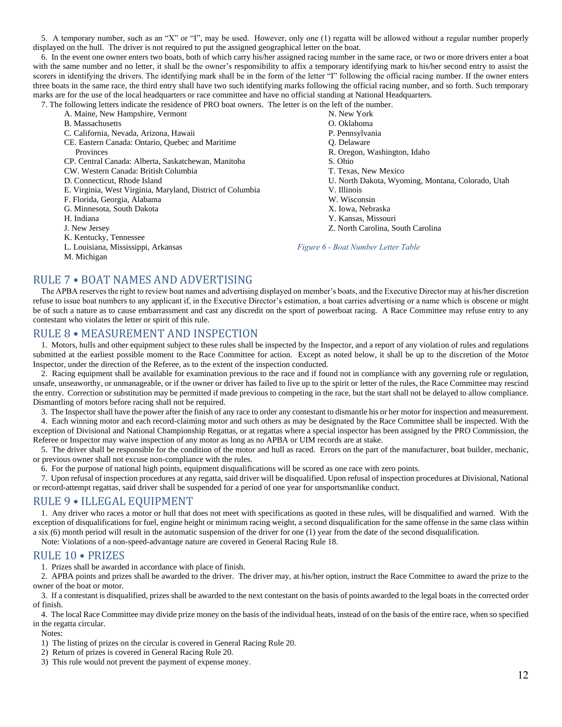5. A temporary number, such as an "X" or "I", may be used. However, only one (1) regatta will be allowed without a regular number properly displayed on the hull. The driver is not required to put the assigned geographical letter on the boat.

6. In the event one owner enters two boats, both of which carry his/her assigned racing number in the same race, or two or more drivers enter a boat with the same number and no letter, it shall be the owner's responsibility to affix a temporary identifying mark to his/her second entry to assist the scorers in identifying the drivers. The identifying mark shall be in the form of the letter "I" following the official racing number. If the owner enters three boats in the same race, the third entry shall have two such identifying marks following the official racing number, and so forth. Such temporary marks are for the use of the local headquarters or race committee and have no official standing at National Headquarters.

7. The following letters indicate the residence of PRO boat owners. The letter is on the left of the number.

- A. Maine, New Hampshire, Vermont
- B. Massachusetts
- C. California, Nevada, Arizona, Hawaii
- CE. Eastern Canada: Ontario, Quebec and Maritime
	- Provinces

CP. Central Canada: Alberta, Saskatchewan, Manitoba

- CW. Western Canada: British Columbia
- D. Connecticut, Rhode Island
- E. Virginia, West Virginia, Maryland, District of Columbia
- F. Florida, Georgia, Alabama
- G. Minnesota, South Dakota
- H. Indiana
- J. New Jersey
- K. Kentucky, Tennessee
- L. Louisiana, Mississippi, Arkansas
- M. Michigan

N. New York

- O. Oklahoma
- P. Pennsylvania
- Q. Delaware
- R. Oregon, Washington, Idaho
	- S. Ohio
	- T. Texas, New Mexico
	- U. North Dakota, Wyoming, Montana, Colorado, Utah
- V. Illinois
- W. Wisconsin
- X. Iowa, Nebraska
- Y. Kansas, Missouri
- Z. North Carolina, South Carolina

<span id="page-11-4"></span>*Figure 6 - Boat Number Letter Table*

## <span id="page-11-0"></span>RULE 7 • BOAT NAMES AND ADVERTISING

The APBA reserves the right to review boat names and advertising displayed on member's boats, and the Executive Director may at his/her discretion refuse to issue boat numbers to any applicant if, in the Executive Director's estimation, a boat carries advertising or a name which is obscene or might be of such a nature as to cause embarrassment and cast any discredit on the sport of powerboat racing. A Race Committee may refuse entry to any contestant who violates the letter or spirit of this rule.

## <span id="page-11-1"></span>RULE 8 • MEASUREMENT AND INSPECTION

1. Motors, hulls and other equipment subject to these rules shall be inspected by the Inspector, and a report of any violation of rules and regulations submitted at the earliest possible moment to the Race Committee for action. Except as noted below, it shall be up to the discretion of the Motor Inspector, under the direction of the Referee, as to the extent of the inspection conducted.

2. Racing equipment shall be available for examination previous to the race and if found not in compliance with any governing rule or regulation, unsafe, unseaworthy, or unmanageable, or if the owner or driver has failed to live up to the spirit or letter of the rules, the Race Committee may rescind the entry. Correction or substitution may be permitted if made previous to competing in the race, but the start shall not be delayed to allow compliance. Dismantling of motors before racing shall not be required.

3. The Inspector shall have the power after the finish of any race to order any contestant to dismantle his or her motor for inspection and measurement.

4. Each winning motor and each record-claiming motor and such others as may be designated by the Race Committee shall be inspected. With the exception of Divisional and National Championship Regattas, or at regattas where a special inspector has been assigned by the PRO Commission, the Referee or Inspector may waive inspection of any motor as long as no APBA or UIM records are at stake.

5. The driver shall be responsible for the condition of the motor and hull as raced. Errors on the part of the manufacturer, boat builder, mechanic, or previous owner shall not excuse non-compliance with the rules.

6. For the purpose of national high points, equipment disqualifications will be scored as one race with zero points.

7. Upon refusal of inspection procedures at any regatta, said driver will be disqualified. Upon refusal of inspection procedures at Divisional, National or record-attempt regattas, said driver shall be suspended for a period of one year for unsportsmanlike conduct.

## <span id="page-11-2"></span>RULE 9 • ILLEGAL EQUIPMENT

1. Any driver who races a motor or hull that does not meet with specifications as quoted in these rules, will be disqualified and warned. With the exception of disqualifications for fuel, engine height or minimum racing weight, a second disqualification for the same offense in the same class within a six (6) month period will result in the automatic suspension of the driver for one (1) year from the date of the second disqualification.

Note: Violations of a non-speed-advantage nature are covered in General Racing Rule 18.

#### <span id="page-11-3"></span>RULE 10 • PRIZES

1. Prizes shall be awarded in accordance with place of finish.

2. APBA points and prizes shall be awarded to the driver. The driver may, at his/her option, instruct the Race Committee to award the prize to the owner of the boat or motor.

3. If a contestant is disqualified, prizes shall be awarded to the next contestant on the basis of points awarded to the legal boats in the corrected order of finish.

4. The local Race Committee may divide prize money on the basis of the individual heats, instead of on the basis of the entire race, when so specified in the regatta circular.

Notes:

1) The listing of prizes on the circular is covered in General Racing Rule 20.

- 2) Return of prizes is covered in General Racing Rule 20.
- 3) This rule would not prevent the payment of expense money.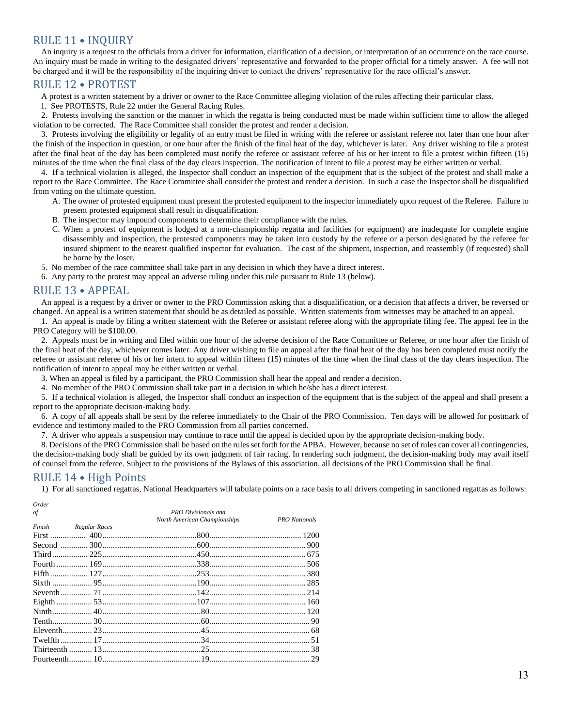## <span id="page-12-0"></span>RULE 11 • INQUIRY

An inquiry is a request to the officials from a driver for information, clarification of a decision, or interpretation of an occurrence on the race course. An inquiry must be made in writing to the designated drivers' representative and forwarded to the proper official for a timely answer. A fee will not be charged and it will be the responsibility of the inquiring driver to contact the drivers' representative for the race official's answer.

#### <span id="page-12-1"></span>RULE 12 • PROTEST

A protest is a written statement by a driver or owner to the Race Committee alleging violation of the rules affecting their particular class.

1. See PROTESTS, Rule 22 under the General Racing Rules.

2. Protests involving the sanction or the manner in which the regatta is being conducted must be made within sufficient time to allow the alleged violation to be corrected. The Race Committee shall consider the protest and render a decision.

3. Protests involving the eligibility or legality of an entry must be filed in writing with the referee or assistant referee not later than one hour after the finish of the inspection in question, or one hour after the finish of the final heat of the day, whichever is later. Any driver wishing to file a protest after the final heat of the day has been completed must notify the referee or assistant referee of his or her intent to file a protest within fifteen (15) minutes of the time when the final class of the day clears inspection. The notification of intent to file a protest may be either written or verbal.

4. If a technical violation is alleged, the Inspector shall conduct an inspection of the equipment that is the subject of the protest and shall make a report to the Race Committee. The Race Committee shall consider the protest and render a decision. In such a case the Inspector shall be disqualified from voting on the ultimate question.

- A. The owner of protested equipment must present the protested equipment to the inspector immediately upon request of the Referee. Failure to present protested equipment shall result in disqualification.
- B. The inspector may impound components to determine their compliance with the rules.
- C. When a protest of equipment is lodged at a non-championship regatta and facilities (or equipment) are inadequate for complete engine disassembly and inspection, the protested components may be taken into custody by the referee or a person designated by the referee for insured shipment to the nearest qualified inspector for evaluation. The cost of the shipment, inspection, and reassembly (if requested) shall be borne by the loser.
- 5. No member of the race committee shall take part in any decision in which they have a direct interest.
- 6. Any party to the protest may appeal an adverse ruling under this rule pursuant to Rule 13 (below).

#### <span id="page-12-2"></span>RULE 13 • APPEAL

An appeal is a request by a driver or owner to the PRO Commission asking that a disqualification, or a decision that affects a driver, be reversed or changed. An appeal is a written statement that should be as detailed as possible. Written statements from witnesses may be attached to an appeal.

1. An appeal is made by filing a written statement with the Referee or assistant referee along with the appropriate filing fee. The appeal fee in the PRO Category will be \$100.00.

2. Appeals must be in writing and filed within one hour of the adverse decision of the Race Committee or Referee, or one hour after the finish of the final heat of the day, whichever comes later. Any driver wishing to file an appeal after the final heat of the day has been completed must notify the referee or assistant referee of his or her intent to appeal within fifteen (15) minutes of the time when the final class of the day clears inspection. The notification of intent to appeal may be either written or verbal.

3. When an appeal is filed by a participant, the PRO Commission shall hear the appeal and render a decision.

4. No member of the PRO Commission shall take part in a decision in which he/she has a direct interest.

5. If a technical violation is alleged, the Inspector shall conduct an inspection of the equipment that is the subject of the appeal and shall present a report to the appropriate decision-making body.

6. A copy of all appeals shall be sent by the referee immediately to the Chair of the PRO Commission. Ten days will be allowed for postmark of evidence and testimony mailed to the PRO Commission from all parties concerned.

7. A driver who appeals a suspension may continue to race until the appeal is decided upon by the appropriate decision-making body.

8. Decisions of the PRO Commission shall be based on the rules set forth for the APBA. However, because no set of rules can cover all contingencies, the decision-making body shall be guided by its own judgment of fair racing. In rendering such judgment, the decision-making body may avail itself of counsel from the referee. Subject to the provisions of the Bylaws of this association, all decisions of the PRO Commission shall be final.

## <span id="page-12-3"></span>RULE 14 • High Points

1) For all sanctioned regattas, National Headquarters will tabulate points on a race basis to all drivers competing in sanctioned regattas as follows:

| Order |                      |                              |                      |
|-------|----------------------|------------------------------|----------------------|
| οf    |                      | <b>PRO</b> Divisionals and   |                      |
|       |                      | North American Championships | <b>PRO</b> Nationals |
|       | Finish Regular Races |                              |                      |
|       |                      |                              |                      |
|       |                      |                              |                      |
|       |                      |                              |                      |
|       |                      |                              |                      |
|       |                      |                              |                      |
|       |                      |                              |                      |
|       |                      |                              |                      |
|       |                      |                              |                      |
|       |                      |                              |                      |
|       |                      |                              |                      |
|       |                      |                              |                      |
|       |                      |                              |                      |
|       |                      |                              |                      |
|       |                      |                              |                      |
|       |                      |                              |                      |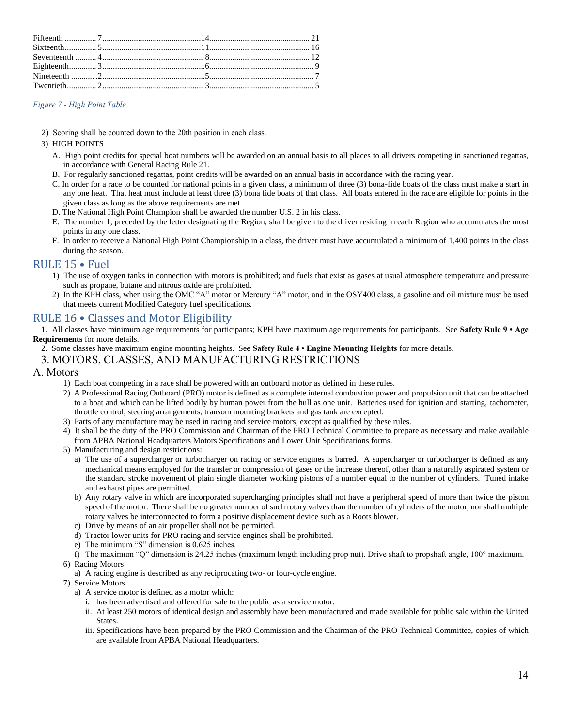#### <span id="page-13-2"></span>*Figure 7 - High Point Table*

2) Scoring shall be counted down to the 20th position in each class.

#### 3) HIGH POINTS

- A. High point credits for special boat numbers will be awarded on an annual basis to all places to all drivers competing in sanctioned regattas, in accordance with General Racing Rule 21.
- B. For regularly sanctioned regattas, point credits will be awarded on an annual basis in accordance with the racing year.
- C. In order for a race to be counted for national points in a given class, a minimum of three (3) bona-fide boats of the class must make a start in any one heat. That heat must include at least three (3) bona fide boats of that class. All boats entered in the race are eligible for points in the given class as long as the above requirements are met.
- D. The National High Point Champion shall be awarded the number U.S. 2 in his class.
- E. The number 1, preceded by the letter designating the Region, shall be given to the driver residing in each Region who accumulates the most points in any one class.
- F. In order to receive a National High Point Championship in a class, the driver must have accumulated a minimum of 1,400 points in the class during the season.

## <span id="page-13-0"></span>RULE 15 • Fuel

- 1) The use of oxygen tanks in connection with motors is prohibited; and fuels that exist as gases at usual atmosphere temperature and pressure such as propane, butane and nitrous oxide are prohibited.
- 2) In the KPH class, when using the OMC "A" motor or Mercury "A" motor, and in the OSY400 class, a gasoline and oil mixture must be used that meets current Modified Category fuel specifications.

## <span id="page-13-1"></span>RULE 16 • Classes and Motor Eligibility

1. All classes have minimum age requirements for participants; KPH have maximum age requirements for participants. See **Safety Rule 9 • Age Requirements** for more details.

2. Some classes have maximum engine mounting heights. See **Safety Rule 4 • Engine Mounting Heights** for more details.

#### 3. MOTORS, CLASSES, AND MANUFACTURING RESTRICTIONS

#### A. Motors

- 1) Each boat competing in a race shall be powered with an outboard motor as defined in these rules.
- 2) A Professional Racing Outboard (PRO) motor is defined as a complete internal combustion power and propulsion unit that can be attached to a boat and which can be lifted bodily by human power from the hull as one unit. Batteries used for ignition and starting, tachometer, throttle control, steering arrangements, transom mounting brackets and gas tank are excepted.
- 3) Parts of any manufacture may be used in racing and service motors, except as qualified by these rules.
- 4) It shall be the duty of the PRO Commission and Chairman of the PRO Technical Committee to prepare as necessary and make available from APBA National Headquarters Motors Specifications and Lower Unit Specifications forms.
- 5) Manufacturing and design restrictions:
	- a) The use of a supercharger or turbocharger on racing or service engines is barred. A supercharger or turbocharger is defined as any mechanical means employed for the transfer or compression of gases or the increase thereof, other than a naturally aspirated system or the standard stroke movement of plain single diameter working pistons of a number equal to the number of cylinders. Tuned intake and exhaust pipes are permitted.
	- b) Any rotary valve in which are incorporated supercharging principles shall not have a peripheral speed of more than twice the piston speed of the motor. There shall be no greater number of such rotary valves than the number of cylinders of the motor, nor shall multiple rotary valves be interconnected to form a positive displacement device such as a Roots blower.
	- c) Drive by means of an air propeller shall not be permitted.
	- d) Tractor lower units for PRO racing and service engines shall be prohibited.
	- e) The minimum "S" dimension is 0.625 inches.
	- f) The maximum "Q" dimension is 24.25 inches (maximum length including prop nut). Drive shaft to propshaft angle, 100° maximum.
- 6) Racing Motors
	- a) A racing engine is described as any reciprocating two- or four-cycle engine.
- 7) Service Motors
	- a) A service motor is defined as a motor which:
		- i. has been advertised and offered for sale to the public as a service motor.
		- ii. At least 250 motors of identical design and assembly have been manufactured and made available for public sale within the United States.
		- iii. Specifications have been prepared by the PRO Commission and the Chairman of the PRO Technical Committee, copies of which are available from APBA National Headquarters.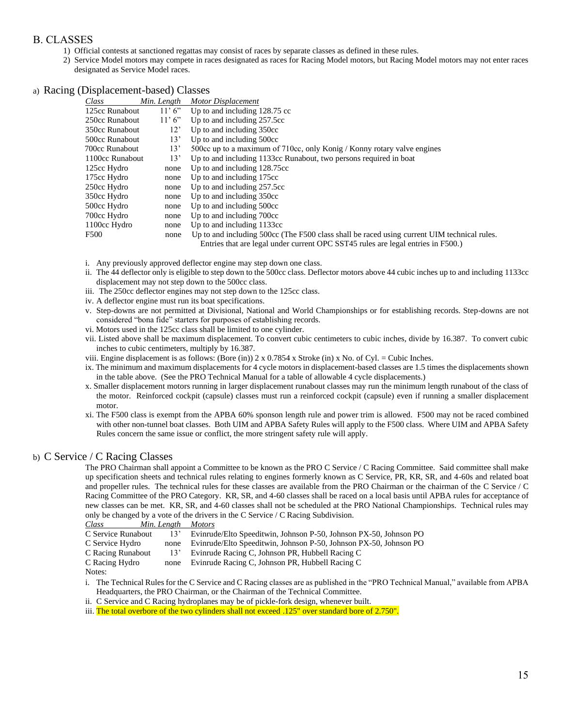## B. CLASSES

- 1) Official contests at sanctioned regattas may consist of races by separate classes as defined in these rules.
- 2) Service Model motors may compete in races designated as races for Racing Model motors, but Racing Model motors may not enter races designated as Service Model races.

a) Racing (Displacement-based) Classes

| Class           | Min. Length  | Motor Displacement                                                                          |
|-----------------|--------------|---------------------------------------------------------------------------------------------|
| 125cc Runabout  | 11'6''       | Up to and including 128.75 cc                                                               |
| 250cc Runabout  | 11'6''       | Up to and including 257.5cc                                                                 |
| 350cc Runabout  | $12^{\circ}$ | Up to and including 350cc                                                                   |
| 500cc Runabout  | 13'          | Up to and including 500cc                                                                   |
| 700cc Runabout  | 13'          | 500cc up to a maximum of 710cc, only Konig / Konny rotary valve engines                     |
| 1100cc Runabout | 13'          | Up to and including 1133cc Runabout, two persons required in boat                           |
| 125cc Hydro     | none         | Up to and including 128.75cc                                                                |
| 175cc Hydro     | none         | Up to and including 175cc                                                                   |
| 250cc Hydro     | none         | Up to and including 257.5cc                                                                 |
| 350cc Hydro     | none         | Up to and including 350cc                                                                   |
| 500cc Hydro     | none         | Up to and including 500cc                                                                   |
| 700cc Hydro     | none         | Up to and including 700cc                                                                   |
| 1100cc Hydro    | none         | Up to and including 1133cc                                                                  |
| F500            | none         | Up to and including 500cc (The F500 class shall be raced using current UIM technical rules. |
|                 |              | Entries that are legal under current OPC SST45 rules are legal entries in F500.)            |

- i. Any previously approved deflector engine may step down one class.
- ii. The 44 deflector only is eligible to step down to the 500cc class. Deflector motors above 44 cubic inches up to and including 1133cc displacement may not step down to the 500cc class.
- iii. The 250cc deflector engines may not step down to the 125cc class.
- iv. A deflector engine must run its boat specifications.
- v. Step-downs are not permitted at Divisional, National and World Championships or for establishing records. Step-downs are not considered "bona fide" starters for purposes of establishing records.
- vi. Motors used in the 125cc class shall be limited to one cylinder.
- vii. Listed above shall be maximum displacement. To convert cubic centimeters to cubic inches, divide by 16.387. To convert cubic inches to cubic centimeters, multiply by 16.387.
- viii. Engine displacement is as follows: (Bore (in)) 2 x 0.7854 x Stroke (in) x No. of Cyl. = Cubic Inches.
- ix. The minimum and maximum displacements for 4 cycle motors in displacement-based classes are 1.5 times the displacements shown in the table above. (See the PRO Technical Manual for a table of allowable 4 cycle displacements.)
- x. Smaller displacement motors running in larger displacement runabout classes may run the minimum length runabout of the class of the motor. Reinforced cockpit (capsule) classes must run a reinforced cockpit (capsule) even if running a smaller displacement motor.
- xi. The F500 class is exempt from the APBA 60% sponson length rule and power trim is allowed. F500 may not be raced combined with other non-tunnel boat classes. Both UIM and APBA Safety Rules will apply to the F500 class. Where UIM and APBA Safety Rules concern the same issue or conflict, the more stringent safety rule will apply.

#### b) C Service / C Racing Classes

The PRO Chairman shall appoint a Committee to be known as the PRO C Service / C Racing Committee. Said committee shall make up specification sheets and technical rules relating to engines formerly known as C Service, PR, KR, SR, and 4-60s and related boat and propeller rules. The technical rules for these classes are available from the PRO Chairman or the chairman of the C Service / C Racing Committee of the PRO Category. KR, SR, and 4-60 classes shall be raced on a local basis until APBA rules for acceptance of new classes can be met. KR, SR, and 4-60 classes shall not be scheduled at the PRO National Championships. Technical rules may only be changed by a vote of the drivers in the C Service / C Racing Subdivision.

| Class<br>Min. Length<br><b>Motors</b> |
|---------------------------------------|
|---------------------------------------|

| C Service Runabout | 13'  | Evinrude/Elto Speeditwin, Johnson P-50, Johnson PX-50, Johnson PO |
|--------------------|------|-------------------------------------------------------------------|
| C Service Hydro    | none | Evinrude/Elto Speeditwin, Johnson P-50, Johnson PX-50, Johnson PO |
| C Racing Runabout  | 13'  | Evinrude Racing C, Johnson PR, Hubbell Racing C                   |
| C Racing Hydro     | none | Evinrude Racing C, Johnson PR, Hubbell Racing C                   |
| Notes:             |      |                                                                   |

- i. The Technical Rules for the C Service and C Racing classes are as published in the "PRO Technical Manual," available from APBA Headquarters, the PRO Chairman, or the Chairman of the Technical Committee.
- ii. C Service and C Racing hydroplanes may be of pickle-fork design, whenever built.
- iii. The total overbore of the two cylinders shall not exceed .125" over standard bore of 2.750".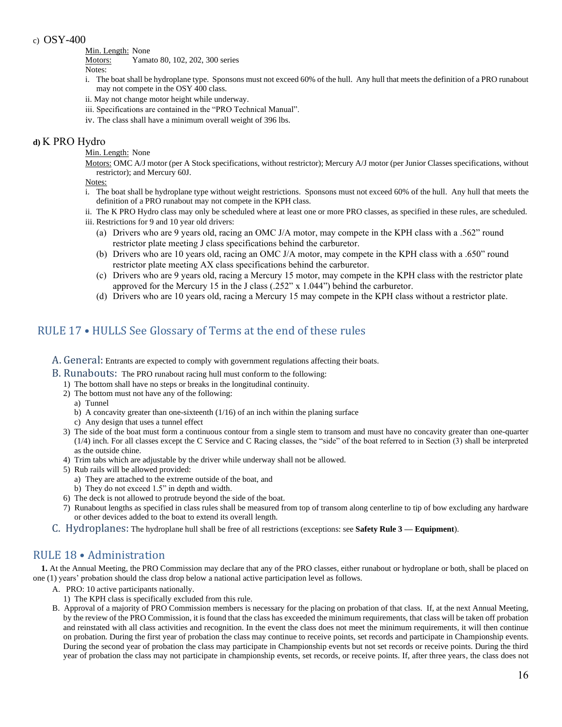#### c) OSY-400

Min. Length: None

Motors: Yamato 80, 102, 202, 300 series

Notes:

- i. The boat shall be hydroplane type. Sponsons must not exceed 60% of the hull. Any hull that meets the definition of a PRO runabout may not compete in the OSY 400 class.
- ii. May not change motor height while underway.
- iii. Specifications are contained in the "PRO Technical Manual".
- iv. The class shall have a minimum overall weight of 396 lbs.

## **d)** K PRO Hydro

- Min. Length: None
- Motors: OMC A/J motor (per A Stock specifications, without restrictor); Mercury A/J motor (per Junior Classes specifications, without restrictor); and Mercury 60J.

Notes:

- i. The boat shall be hydroplane type without weight restrictions. Sponsons must not exceed 60% of the hull. Any hull that meets the definition of a PRO runabout may not compete in the KPH class.
- ii. The K PRO Hydro class may only be scheduled where at least one or more PRO classes, as specified in these rules, are scheduled.
- iii. Restrictions for 9 and 10 year old drivers:
	- (a) Drivers who are 9 years old, racing an OMC J/A motor, may compete in the KPH class with a .562" round restrictor plate meeting J class specifications behind the carburetor.
	- (b) Drivers who are 10 years old, racing an OMC J/A motor, may compete in the KPH class with a .650" round restrictor plate meeting AX class specifications behind the carburetor.
	- (c) Drivers who are 9 years old, racing a Mercury 15 motor, may compete in the KPH class with the restrictor plate approved for the Mercury 15 in the J class  $(.252" \times 1.044")$  behind the carburetor.
	- (d) Drivers who are 10 years old, racing a Mercury 15 may compete in the KPH class without a restrictor plate.

## <span id="page-15-0"></span>RULE 17 • HULLS See Glossary of Terms at the end of these rules

- <span id="page-15-1"></span>A. General: Entrants are expected to comply with government regulations affecting their boats.
- <span id="page-15-2"></span>B. Runabouts: The PRO runabout racing hull must conform to the following:
	- 1) The bottom shall have no steps or breaks in the longitudinal continuity.
	- 2) The bottom must not have any of the following:
		- a) Tunnel
		- b) A concavity greater than one-sixteenth  $(1/16)$  of an inch within the planing surface
		- c) Any design that uses a tunnel effect
	- 3) The side of the boat must form a continuous contour from a single stem to transom and must have no concavity greater than one-quarter (1/4) inch. For all classes except the C Service and C Racing classes, the "side" of the boat referred to in Section (3) shall be interpreted as the outside chine.
	- 4) Trim tabs which are adjustable by the driver while underway shall not be allowed.
	- 5) Rub rails will be allowed provided:
		- a) They are attached to the extreme outside of the boat, and
		- b) They do not exceed 1.5" in depth and width.
	- 6) The deck is not allowed to protrude beyond the side of the boat.
	- 7) Runabout lengths as specified in class rules shall be measured from top of transom along centerline to tip of bow excluding any hardware or other devices added to the boat to extend its overall length.
- <span id="page-15-3"></span>C. Hydroplanes: The hydroplane hull shall be free of all restrictions (exceptions: see **Safety Rule 3 — Equipment**).

## <span id="page-15-4"></span>RULE 18 • Administration

**1.** At the Annual Meeting, the PRO Commission may declare that any of the PRO classes, either runabout or hydroplane or both, shall be placed on one (1) years' probation should the class drop below a national active participation level as follows.

- A. PRO: 10 active participants nationally.
	- 1) The KPH class is specifically excluded from this rule.
- B. Approval of a majority of PRO Commission members is necessary for the placing on probation of that class. If, at the next Annual Meeting, by the review of the PRO Commission, it is found that the class has exceeded the minimum requirements, that class will be taken off probation and reinstated with all class activities and recognition. In the event the class does not meet the minimum requirements, it will then continue on probation. During the first year of probation the class may continue to receive points, set records and participate in Championship events. During the second year of probation the class may participate in Championship events but not set records or receive points. During the third year of probation the class may not participate in championship events, set records, or receive points. If, after three years, the class does not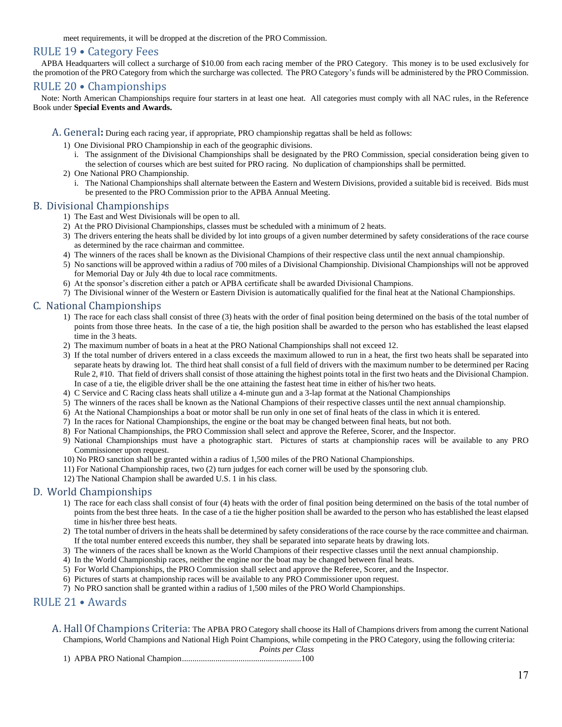meet requirements, it will be dropped at the discretion of the PRO Commission.

## <span id="page-16-0"></span>RULE 19 • Category Fees

APBA Headquarters will collect a surcharge of \$10.00 from each racing member of the PRO Category. This money is to be used exclusively for the promotion of the PRO Category from which the surcharge was collected. The PRO Category's funds will be administered by the PRO Commission.

#### <span id="page-16-1"></span>RULE 20 • Championships

Note: North American Championships require four starters in at least one heat. All categories must comply with all NAC rules, in the Reference Book under **Special Events and Awards.** 

- <span id="page-16-2"></span>A. General**:** During each racing year, if appropriate, PRO championship regattas shall be held as follows:
	- 1) One Divisional PRO Championship in each of the geographic divisions.
		- i. The assignment of the Divisional Championships shall be designated by the PRO Commission, special consideration being given to the selection of courses which are best suited for PRO racing. No duplication of championships shall be permitted.
	- 2) One National PRO Championship.
		- i. The National Championships shall alternate between the Eastern and Western Divisions, provided a suitable bid is received. Bids must be presented to the PRO Commission prior to the APBA Annual Meeting.

#### <span id="page-16-3"></span>B. Divisional Championships

- 1) The East and West Divisionals will be open to all.
- 2) At the PRO Divisional Championships, classes must be scheduled with a minimum of 2 heats.
- 3) The drivers entering the heats shall be divided by lot into groups of a given number determined by safety considerations of the race course as determined by the race chairman and committee.
- 4) The winners of the races shall be known as the Divisional Champions of their respective class until the next annual championship.
- 5) No sanctions will be approved within a radius of 700 miles of a Divisional Championship. Divisional Championships will not be approved for Memorial Day or July 4th due to local race commitments.
- 6) At the sponsor's discretion either a patch or APBA certificate shall be awarded Divisional Champions.
- 7) The Divisional winner of the Western or Eastern Division is automatically qualified for the final heat at the National Championships.

## <span id="page-16-4"></span>C. National Championships

- 1) The race for each class shall consist of three (3) heats with the order of final position being determined on the basis of the total number of points from those three heats. In the case of a tie, the high position shall be awarded to the person who has established the least elapsed time in the 3 heats.
- 2) The maximum number of boats in a heat at the PRO National Championships shall not exceed 12.
- 3) If the total number of drivers entered in a class exceeds the maximum allowed to run in a heat, the first two heats shall be separated into separate heats by drawing lot. The third heat shall consist of a full field of drivers with the maximum number to be determined per Racing Rule 2, #10. That field of drivers shall consist of those attaining the highest points total in the first two heats and the Divisional Champion. In case of a tie, the eligible driver shall be the one attaining the fastest heat time in either of his/her two heats.
- 4) C Service and C Racing class heats shall utilize a 4-minute gun and a 3-lap format at the National Championships
- 5) The winners of the races shall be known as the National Champions of their respective classes until the next annual championship.
- 6) At the National Championships a boat or motor shall be run only in one set of final heats of the class in which it is entered.
- 7) In the races for National Championships, the engine or the boat may be changed between final heats, but not both.
- 8) For National Championships, the PRO Commission shall select and approve the Referee, Scorer, and the Inspector.
- 9) National Championships must have a photographic start. Pictures of starts at championship races will be available to any PRO Commissioner upon request.
- 10) No PRO sanction shall be granted within a radius of 1,500 miles of the PRO National Championships.
- 11) For National Championship races, two (2) turn judges for each corner will be used by the sponsoring club.
- 12) The National Champion shall be awarded U.S. 1 in his class.

#### <span id="page-16-5"></span>D. World Championships

- 1) The race for each class shall consist of four (4) heats with the order of final position being determined on the basis of the total number of points from the best three heats. In the case of a tie the higher position shall be awarded to the person who has established the least elapsed time in his/her three best heats.
- 2) The total number of drivers in the heats shall be determined by safety considerations of the race course by the race committee and chairman. If the total number entered exceeds this number, they shall be separated into separate heats by drawing lots.
- 3) The winners of the races shall be known as the World Champions of their respective classes until the next annual championship.
- 4) In the World Championship races, neither the engine nor the boat may be changed between final heats.
- 5) For World Championships, the PRO Commission shall select and approve the Referee, Scorer, and the Inspector.
- 6) Pictures of starts at championship races will be available to any PRO Commissioner upon request.
- 7) No PRO sanction shall be granted within a radius of 1,500 miles of the PRO World Championships.

## <span id="page-16-6"></span>RULE 21 • Awards

<span id="page-16-7"></span>A. Hall Of Champions Criteria: The APBA PRO Category shall choose its Hall of Champions drivers from among the current National Champions, World Champions and National High Point Champions, while competing in the PRO Category, using the following criteria:

*Points per Class* 1) APBA PRO National Champion.........................................................100